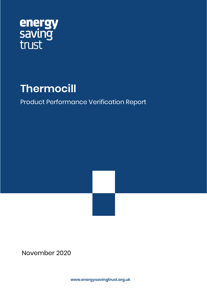

# **Thermocill**

## Product Performance Verification Report

November 2020

**www.energysavingtrust.org.uk**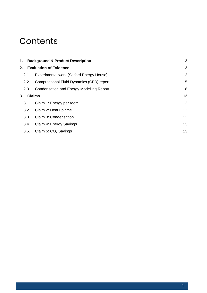## **Contents**

|  | $\mathbf{2}$                                                 |                                                                                               |
|--|--------------------------------------------------------------|-----------------------------------------------------------------------------------------------|
|  |                                                              | $\overline{2}$                                                                                |
|  | Experimental work (Salford Energy House)                     | $\overline{2}$                                                                                |
|  | Computational Fluid Dynamics (CFD) report                    | 5                                                                                             |
|  | Condensation and Energy Modelling Report                     | 8                                                                                             |
|  |                                                              | 12                                                                                            |
|  | Claim 1: Energy per room                                     | 12                                                                                            |
|  | Claim 2: Heat up time                                        | 12                                                                                            |
|  | Claim 3: Condensation                                        | 12                                                                                            |
|  | Claim 4: Energy Savings                                      | 13                                                                                            |
|  | Claim 5: CO <sub>2</sub> Savings                             | 13                                                                                            |
|  |                                                              |                                                                                               |
|  | 2.1.<br>2.2.<br>2.3.<br>3.1.<br>3.2.<br>3.3.<br>3.4.<br>3.5. | <b>Background &amp; Product Description</b><br><b>Evaluation of Evidence</b><br><b>Claims</b> |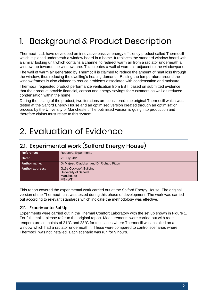# <span id="page-2-0"></span>1. Background & Product Description

Thermocill Ltd. have developed an innovative passive energy efficiency product called Thermocill which is placed underneath a window board in a home. It replaces the standard window board with a similar looking unit which contains a channel to redirect warm air from a radiator underneath a window, up towards the windowpane. This creates a wall of warm air adjacent to the windowpane.

The wall of warm air generated by Thermocill is claimed to reduce the amount of heat loss through the window, thus reducing the dwelling's heating demand. Raising the temperature around the window frames is also claimed to reduce problems associated with condensation and moisture.

Thermocill requested product performance verification from EST, based on submitted evidence that their product provide financial, carbon and energy savings for customers as well as reduced condensation within the home.

During the testing of the product, two iterations are considered: the original Thermocill which was tested at the Salford Energy House and an optimised version created through an optimisation process by the University of Manchester. The optimised version is going into production and therefore claims must relate to this system.

## <span id="page-2-1"></span>2. Evaluation of Evidence

## <span id="page-2-2"></span>2.1. Experimental work (Salford Energy House)

| <b>Reference:</b>      | Report#1-Experiments                                                           |
|------------------------|--------------------------------------------------------------------------------|
| Dated:                 | 23 July 2020                                                                   |
| Author name:           | Dr Majeed Oladokun and Dr Richard Fitton                                       |
| <b>Author address:</b> | G16a Cockcroft Building<br>University of Salford<br>Manchester<br><b>M54WT</b> |

This report covered the experimental work carried out at the Salford Energy House. The original version of the Thermocill unit was tested during this phase of development. The work was carried out according to relevant standards which indicate the methodology was effective.

#### 2.1.1. Experimental Set Up

Experiments were carried out in the Thermal Comfort Laboratory with the set up shown in [Figure 1.](#page-3-0) For full details, please refer to the original report. Measurements were carried out with room temperature set points of 21°C and 23°C for test cases where Thermocill was installed on a window which had a radiator underneath it. These were compared to control scenarios where Thermocill was not installed. Each scenario was run for 9 hours.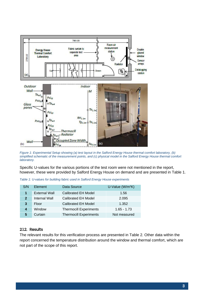

<span id="page-3-0"></span>*Figure 1: Experimental Setup showing (a) test layout in the Salford Energy House thermal comfort laboratory, (b) simplified schematic of the measurement points, and (c) physical model in the Salford Energy House thermal comfort laboratory.*

Specific U-values for the various portions of the test room were not mentioned in the report, however, these were provided by Salford Energy House on demand and are presented in [Table 1.](#page-3-1)

| S/N          | Element              | Data Source                   | U-Value ( $W/m^2K$ ) |
|--------------|----------------------|-------------------------------|----------------------|
|              | <b>External Wall</b> | <b>Calibrated EH Model</b>    | 1.56                 |
| $\mathbf{2}$ | Internal Wall        | <b>Calibrated EH Model</b>    | 2.095                |
| 3            | Floor                | <b>Calibrated EH Model</b>    | 1.352                |
| 4            | Window               | <b>Thermocill Experiments</b> | $1.65 - 1.73$        |
| 5.           | Curtain              | <b>Thermocill Experiments</b> | Not measured         |

<span id="page-3-1"></span>*Table 1: U-values for building fabric used in Salford Energy House experiments*

#### 2.1.2. Results

The relevant results for this verification process are presented in [Table 2.](#page-4-1) Other data within the report concerned the temperature distribution around the window and thermal comfort, which are not part of the scope of this report.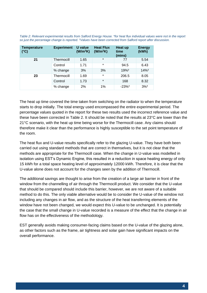| <b>Temperature</b><br>$(^{\circ}C)$ | <b>Experiment</b> | U value<br>(W/m <sup>2</sup> K) | <b>Heat Flux</b><br>(W/m <sup>2</sup> K) | Heat up<br>time<br>(mins) | <b>Energy</b><br>(kWh) |
|-------------------------------------|-------------------|---------------------------------|------------------------------------------|---------------------------|------------------------|
| 21                                  | Thermocill        | 1.65                            | $\star$                                  | 77                        | 5.54                   |
|                                     | Control           | 1.71                            | $\star$                                  | 94.5                      | 6.43                   |
|                                     | % change          | 3%                              | 3%                                       | 19% <sup>+</sup>          | 14%+                   |
| 23                                  | Thermocill        | 1.69                            | $\star$                                  | 206.5                     | 8.05                   |
|                                     | Control           | 1.73                            | $\star$                                  | 168                       | 8.32                   |
|                                     | % change          | 2%                              | 1%                                       | $-23%$ <sup>†</sup>       | $3%$ <sup>†</sup>      |

<span id="page-4-1"></span>*Table 2: Relevant experimental results from Salford Energy House. \*for heat flux individual values were not in the report so just the percentage change is reported. †Values have been corrected from Salford report after discussion.*

The heat up time covered the time taken from switching on the radiator to when the temperature starts to drop initially. The total energy used encompassed the entire experimental period. The percentage values quoted in the report for these two results used the incorrect reference value and these have been corrected in [Table 2.](#page-4-1) It should be noted that the results at 23°C are lower than the 21°C scenario, with the heat up time being worse for the Thermocill case. Any claims should therefore make it clear than the performance is highly susceptible to the set point temperature of the room.

The heat flux and U-value results specifically refer to the glazing U-value. They have both been carried out using standard methods that are correct in themselves, but it is not clear that the methods are appropriate for the Thermocill case. When the change in U-value was modelled in isolation using EST's Dynamic Engine, this resulted in a reduction in space heating energy of only 15 kWh for a total space heating level of approximately 12000 kWh. Therefore, it is clear that the U-value alone does not account for the changes seen by the addition of Thermocill.

The additional savings are thought to arise from the creation of a large air barrier in front of the window from the channelling of air through the Thermocill product. We consider that the U-value that should be compared should include this barrier, however, we are not aware of a suitable method to do this. The only viable alternative would be to consider the U-value of the window not including any changes in air flow, and as the structure of the heat transferring elements of the window have not been changed, we would expect this U-value to be unchanged. It is potentially the case that the small change in U-value recorded is a measure of the effect that the change in air flow has on the effectiveness of the methodology.

<span id="page-4-0"></span>EST generally avoids making consumer-facing claims based on the U-value of the glazing alone, as other factors such as the frame, air tightness and solar gain have significant impacts on the overall performance.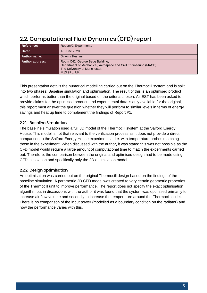| Reference:             | Report#2-Experiments                                                                                                                                  |
|------------------------|-------------------------------------------------------------------------------------------------------------------------------------------------------|
| Dated:                 | 16 June 2020                                                                                                                                          |
| <b>Author name:</b>    | Dr Amir Keshmiri                                                                                                                                      |
| <b>Author address:</b> | Room C42, George Begg Building,<br>Department of Mechanical, Aerospace and Civil Engineering (MACE),<br>The University of Manchester,<br>M13 9PL, UK. |

## 2.2. Computational Fluid Dynamics (CFD) report

This presentation details the numerical modelling carried out on the Thermocill system and is split into two phases: Baseline simulation and optimisation. The result of this is an optimised product which performs better than the original based on the criteria chosen. As EST has been asked to provide claims for the optimised product, and experimental data is only available for the original, this report must answer the question whether they will perform to similar levels in terms of energy savings and heat up time to complement the findings of Report #1.

#### 2.2.1. Baseline Simulation

The baseline simulation used a full 3D model of the Thermocill system at the Salford Energy House. This model is not that relevant to the verification process as it does not provide a direct comparison to the Salford Energy House experiments – i.e. with temperature probes matching those in the experiment. When discussed with the author, it was stated this was not possible as the CFD model would require a large amount of computational time to match the experiments carried out. Therefore, the comparison between the original and optimised design had to be made using CFD in isolation and specifically only the 2D optimisation model.

#### 2.2.2. Design optimisation

An optimisation was carried out on the original Thermocill design based on the findings of the baseline simulation. A parametric 2D CFD model was created to vary certain geometric properties of the Thermocill unit to improve performance. The report does not specify the exact optimisation algorithm but in discussions with the author it was found that the system was optimised primarily to increase air flow volume and secondly to increase the temperature around the Thermocill outlet. There is no comparison of the input power (modelled as a boundary condition on the radiator) and how the performance varies with this.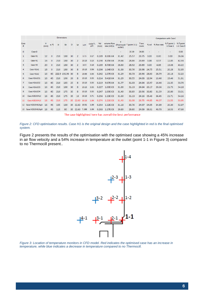|                 |                                    | <b>Dimensions</b> |              |     |              |         |                |       |                        |              |                              |         |                           |               |       | <b>Comparison with Case1</b> |                                    |            |
|-----------------|------------------------------------|-------------------|--------------|-----|--------------|---------|----------------|-------|------------------------|--------------|------------------------------|---------|---------------------------|---------------|-------|------------------------------|------------------------------------|------------|
| Case<br>#       |                                    | н<br>(mm)         | $\alpha$ (°) | Ŀt  | Lb           | $\circ$ | Lp             | Lt/H  | $cos(\alpha)*L$<br>p/H | Vel<br>(m/s) | volume flow<br>rate $(m3/s)$ | outlet) | (Thermocill T (point 1-1) | T ave<br>room | % vel | % flow rate                  | % T point 1- % T point<br>1 Case 1 | 1-1 Case 0 |
| $\mathbf{0}$    | Case 0                             |                   |              |     |              |         |                |       |                        |              |                              |         | 20.19                     | 24.83         |       |                              |                                    | 0.00       |
| 1               | Case H1                            | 12                | $\mathbf 0$  | 210 | 180          | 30      | $\overline{2}$ | 17.5  | 0.17                   | 0.189        | 8.30E-04                     | 31.42   | 25.57                     | 23.75         | 0.00  | 0.00                         | 0.00                               | 26.66      |
| $\overline{2}$  | Case H <sub>2</sub>                | 16                | $\mathbf{0}$ | 210 | 180          | 30      | $\overline{2}$ | 13.13 | 0.13                   | 0.190        | 8.35E-04                     | 29.44   | 28.86                     | 23.69         | 0.38  | 0.57                         | 12.85                              | 42.93      |
| 3               | Case H <sub>3</sub>                | 20                | $\mathbf{0}$ | 210 | 180          | 30      | $\overline{2}$ | 10.5  | 0.10                   | 0.189        | 8.70E-04                     | 28.80   | 28.92                     | 23.69         | 0.00  | 4.86                         | 13.08                              | 43.22      |
| 4               | Case H2A1                          | 16                | $\mathbf 0$  | 210 | 180          | 30      | 8              | 13.13 | 0.50                   | 0.236        | 1.04E-03                     | 31.33   | 30.76                     | 23.98         | 24.75 | 25.51                        | 20.28                              | 52.35      |
| 5               | Case H <sub>2</sub> A <sub>2</sub> | 16                | 45           |     | 222.9 192.96 | 30      | 8              | 13.93 | 0.35                   | 0.242        | 1.07E-03                     | 31.29   | 30.73                     | 23.96         | 28.00 | 28.79                        | 20.18                              | 52.22      |
| 6               | Case H2A2O1                        | 16                | 45           | 210 | 190          | 20      | 8              | 13.13 | 0.35                   | 0.214        | 9.41E-04                     | 31.29   | 30.55                     | 24.03 12.94   |       | 13.40                        | 19.46                              | 51.31      |
| 7               | Case H2A2O2                        | 16                | 45           | 210 | 185          | 25      | 8              | 13.13 | 0.35                   | 0.219        | 9.67E-04                     | 31.77   | 31.03                     | 24.64 15.97   |       | 16.46                        | 21.35                              | 53.70      |
| 8               | Case H2A2O3                        | 16                | 45           | 210 | 180          | 30      | 8              | 13.13 | 0.35                   | 0.227        | 1.00E-03                     | 31.80   | 31.13                     | 24.64 20.17   |       | 20.66                        | 21.73                              | 54.18      |
| 9               | Case H2A2O4                        | 16                | 45           | 210 | 175          | 35      | 8              | 13.13 | 0.35                   | 0.247        | 1.09E-03                     | 31.40   | 30.89                     | 23.96 30.80   |       | 31.59                        | 20.80                              | 53.01      |
| 10              | Case H2S2O4L2                      | 16                | 45           | 210 | 175          | 35      | 16             | 13.13 | 0.71                   |              | 0.256 1.13E-03               | 31.60   | 31.13                     | 24.16 35.46   |       | 36.45                        | 21.71                              | 54.16      |
| 11              | Case H2S2O4L3                      | 16                | 45           | 210 | 175          | 35      | 22.63          | 13.13 | 1.00                   | 0.274        | 1.21E-03                     | 31.40   | 31.08                     | 23.75 44.85   |       | 46.07                        | 21.55                              | 53.95      |
| 12 <sup>7</sup> | Case H2S2O4L3Lp2                   | 16                | 45           | 165 | 130          | 35      | 22.63          | 10.31 | 1.00                   | 0.254        | 1.12E-03                     | 31.18   | 30.76                     | 24.07         | 34.05 | 34.89                        | 20.30                              | 52.37      |
| 13              | Case H2S2O4L3Lp3                   | 16                | 45           | 115 | 80           | 35      | 22.63          | 7.188 | 1.00                   | 0.263        | 1.17E-03                     | 29.80   | 29.80                     | 24.09         | 39.31 | 40.73                        | 16.53                              | 47.60      |

The case highlighted here has overall the best performance

<span id="page-6-0"></span>*Figure 2: CFD optimisation results. Case H1 is the original design and the case highlighted in red is the final optimised system.*

[Figure 2](#page-6-0) presents the results of the optimisation with the optimised case showing a 45% increase in air flow velocity and a 54% increase in temperature at the outlet (point 1-1 in [Figure 3\)](#page-6-1) compared to no Thermocill present..



<span id="page-6-1"></span>*Figure 3: Location of temperature monitors in CFD model. Red indicates the optimised case has an increase in temperature, while blue indicates a decrease in temperature compared to no Thermocill.*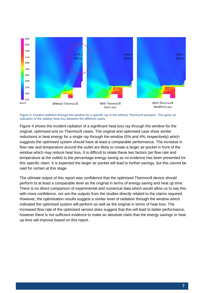

<span id="page-7-1"></span>*Figure 4: Incident radiation through the window for a specific ray in the without Thermocill scenario. This gives an indication of the relative heat loss between the different cases.*

[Figure 4](#page-7-1) shows the incident radiation of a significant heat loss ray through the window for the original, optimised and no Thermocill cases. The original and optimised case show similar reductions in heat energy for a single ray through the window (5% and 4%, respectively) which suggests the optimised system should have at least a comparable performance. The increase in flow rate and temperature around the outlet are likely to create a larger air pocket in front of the window which may reduce heat loss. It is difficult to relate these two factors (air flow rate and temperature at the outlet) to the percentage energy saving as no evidence has been presented for this specific claim. It is expected the larger air pocket will lead to further savings, but this cannot be said for certain at this stage.

<span id="page-7-0"></span>The ultimate output of this report was confidence that the optimised Thermocill device should perform to at least a comparable level as the original in terms of energy saving and heat up time. There is no direct comparison of experimental and numerical data which would allow us to say this with more confidence, nor are the outputs from the studies directly related to the claims required. However, the optimisation results suggest a similar level of radiation through the window which indicated the optimised system will perform as well as the original in terms of heat loss. The increased flow rate of the optimised version does suggest that this will lead to better performance, however there is not sufficient evidence to make an absolute claim that the energy savings or heat up time will improve based on this report.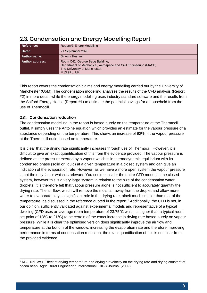| <b>Reference:</b>      | Report#3-EnergyModelling                                                                                                                              |
|------------------------|-------------------------------------------------------------------------------------------------------------------------------------------------------|
| Dated:                 | 21 September 2020                                                                                                                                     |
| <b>Author name:</b>    | Dr Amir Keshmiri                                                                                                                                      |
| <b>Author address:</b> | Room C42, George Begg Building,<br>Department of Mechanical, Aerospace and Civil Engineering (MACE),<br>The University of Manchester,<br>M13 9PL, UK. |

#### 2.3. Condensation and Energy Modelling Report

This report covers the condensation claims and energy modelling carried out by the University of Manchester (UoM). The condensation modelling analyses the results of the CFD analysis (Report #2) in more detail, while the energy modelling uses industry standard software and the results from the Salford Energy House (Report #1) to estimate the potential savings for a household from the use of Thermocill.

#### 2.3.1. Condensation reduction

The condensation modelling in the report is based purely on the temperature at the Thermocill outlet. It simply uses the Antoine equation which provides an estimate for the vapour pressure of a substance depending on the temperature. This shows an increase of 92% in the vapour pressure at the Thermocill outlet based on temperature.

It is clear that the drying rate significantly increases through use of Thermocill. However, it is difficult to give an exact quantification of this from the evidence provided. The vapour pressure is defined as the pressure exerted by a vapour which is in thermodynamic equilibrium with its condensed phase (solid or liquid) at a given temperature in a closed system and can give an indication of the evaporation rate. However, as we have a more open system the vapour pressure is not the only factor which is relevant. You could consider the entire CFD model as the closed system, however this is a very large system in relation to the size of the condensation water droplets. It is therefore felt that vapour pressure alone is not sufficient to accurately quantify the drying rate. The air flow, which will remove the moist air away from the droplet and allow more water to evaporate plays a significant role in the drying rate, albeit much smaller than that of the temperature, as discussed in the reference quoted in the report.<sup>1</sup> Additionally, the CFD is not, in our opinion, sufficiently validated against experimental models and representative of a typical dwelling (CFD uses an average room temperature of 23.75°C which is higher than a typical room set point of 18°C to 21°C) to be certain of the exact increase in drying rate based purely on vapour pressure. While it is clear the optimised version does significantly improve the air flow and temperature at the bottom of the window, increasing the evaporation rate and therefore improving performance in terms of condensation reduction, the exact quantification of this is not clear from the provided evidence.

<sup>1</sup> M.C. Ndukwu, Effect of drying temperature and drying air velocity on the drying rate and drying constant of cocoa bean, Agricultural Engineering International: CIGR Journal (2009).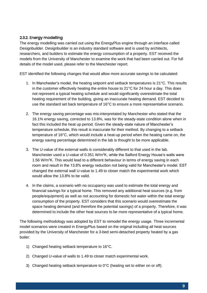#### 2.3.2. Energy modelling

The energy modelling was carried out using the EnergyPlus engine through an interface called Designbuilder. Designbuilder is an industry standard software and is used by architects, researchers, and builders to estimate the energy consumption of a property. EST received the models from the University of Manchester to examine the work that had been carried out. For full details of the model used, please refer to the Manchester report.

EST identified the following changes that would allow more accurate savings to be calculated:

- 1. In Manchester's model, the heating setpoint and setback temperatures is 21°C. This results in the customer effectively heating the entire house to 21°C for 24 hour a day. This does not represent a typical heating schedule and would significantly overestimate the total heating requirement of the building, giving an inaccurate heating demand. EST decided to use the standard set back temperature of 16°C to ensure a more representative scenario.
- 2. The energy saving percentage was mis-interpretated by Manchester who stated that the 16.1% energy saving, corrected to 13.8%, was for the steady-state condition alone when in fact this included the heat up period. Given the steady-state nature of Manchester's temperature schedule, this result is inaccurate for their method. By changing to a setback temperature of 16°C, which would include a heat-up period when the heating came on, the energy saving percentage determined in the lab is thought to be more applicable.
- 3. The U-value of the external walls is considerably different to that used in the lab. Manchester used a U-value of 0.351 W/m<sup>2</sup>K, while the Salford Energy House's walls were 1.56 W/m<sup>2</sup>K. This would lead to a different behaviour in terms of energy saving in each room and result in the 13.8% energy reduction not being valid for Manchester's model. EST changed the external wall U-value to 1.49 to closer match the experimental work which would allow the 13.8% to be valid.
- 4. In the claims, a scenario with no occupancy was used to estimate the total energy and financial savings for a typical home. This removed any additional heat sources (e.g. from people/equipment) as well as not accounting for domestic hot water within the total energy consumption of the property. EST considers that this scenario would overestimate the space heating demand (and therefore the potential savings) of a property. Therefore, it was determined to include the other heat sources to be more representative of a typical home.

The following methodology was adopted by EST to remodel the energy usage. Three incremental model scenarios were created in EnergyPlus based on the original including all heat sources provided by the University of Manchester for a 3-bed semi-detached property heated by a gas boiler:

- 1) Changed heating setback temperature to 16°C.
- 2) Changed U-value of walls to 1.49 to closer match experimental work.
- 3) Changed heating setback temperature to 0°C (heating set to either on or off).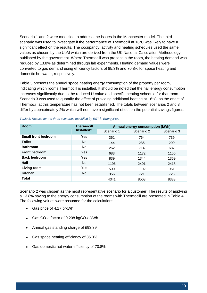Scenario 1 and 2 were modelled to address the issues in the Manchester model. The third scenario was used to investigate if the performance of Thermocill at 16°C was likely to have a significant effect on the results. The occupancy, activity and heating schedules used the same values as chosen by the UoM which are derived from the UK National Calculation Methodology published by the government. Where Thermocill was present in the room, the heating demand was reduced by 13.8% as determined through lab experiments. Heating demand values were converted to gas demand using efficiency factors of 85.3% and 70.8% for space heating and domestic hot water, respectively.

[Table 3](#page-10-0) presents the annual space heating energy consumption of the property per room, indicating which rooms Thermocill is installed. It should be noted that the hall energy consumption increases significantly due to the reduced U-value and specific heating schedule for that room. Scenario 3 was used to quantify the effect of providing additional heating at 16°C, as the effect of Thermocill at this temperature has not been established. The totals between scenarios 2 and 3 differ by approximately 2% which will not have a significant effect on the potential savings figures.

| Room                       | <b>Thermocill</b> | Annual energy consumption (kWh) |            |            |  |  |
|----------------------------|-------------------|---------------------------------|------------|------------|--|--|
|                            | Installed?        | Scenario 1                      | Scenario 2 | Scenario 3 |  |  |
| <b>Small front bedroom</b> | Yes               | 361                             | 764        | 739        |  |  |
| <b>Toilet</b>              | No.               | 144                             | 285        | 290        |  |  |
| <b>Bathroom</b>            | No.               | 262                             | 714        | 682        |  |  |
| <b>Front bedroom</b>       | Yes               | 683                             | 1172       | 1156       |  |  |
| <b>Back bedroom</b>        | Yes               | 839                             | 1344       | 1369       |  |  |
| Hall                       | <b>No</b>         | 1196                            | 2401       | 2418       |  |  |
| Living room                | Yes               | 500                             | 1102       | 951        |  |  |
| <b>Kitchen</b>             | No.               | 356                             | 721        | 728        |  |  |
| Total                      |                   | 4341                            | 8503       | 8333       |  |  |

<span id="page-10-0"></span>*Table 3: Results for the three scenarios modelled by EST in EnergyPlus*

Scenario 2 was chosen as the most representative scenario for a customer. The results of applying a 13.8% saving to the energy consumption of the rooms with Thermocill are presented in [Table 4.](#page-11-1) The following values were assumed for the calculations:

- Gas price of 4.17 p/kWh
- Gas  $CO<sub>2</sub>e$  factor of 0.208 kg $CO<sub>2</sub>e/kWh$
- Annual gas standing charge of £93.39
- Gas space heating efficiency of 85.3%
- Gas domestic hot water efficiency of 70.8%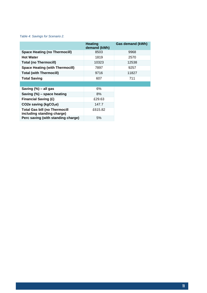#### <span id="page-11-1"></span>*Table 4: Savings for Scenario 2.*

<span id="page-11-0"></span>

|                                                                    | <b>Heating</b><br>demand (kWh) | <b>Gas demand (kWh)</b> |
|--------------------------------------------------------------------|--------------------------------|-------------------------|
| <b>Space Heating (no Thermocill)</b>                               | 8503                           | 9968                    |
| <b>Hot Water</b>                                                   | 1819                           | 2570                    |
| <b>Total (no Thermocill)</b>                                       | 10323                          | 12538                   |
| <b>Space Heating (with Thermocill)</b>                             | 7897                           | 9257                    |
| <b>Total (with Thermocill)</b>                                     | 9716                           | 11827                   |
| <b>Total Saving</b>                                                | 607                            | 711                     |
|                                                                    |                                |                         |
| Saving $(\%)$ – all gas                                            | 6%                             |                         |
| Saving $(\%)$ – space heating                                      | 8%                             |                         |
| <b>Financial Saving (£)</b>                                        | £29.63                         |                         |
| CO <sub>2</sub> e saving ( $kgCO2e$ )                              | 147.7                          |                         |
| <b>Total Gas bill (no Thermocill</b><br>including standing charge) | £615.82                        |                         |
| Perc saving (with standing charge)                                 | 5%                             |                         |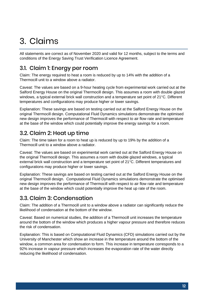# 3. Claims

All statements are correct as of November 2020 and valid for 12 months, subject to the terms and conditions of the Energy Saving Trust Verification Licence Agreement.

### <span id="page-12-0"></span>3.1. Claim 1: Energy per room

Claim: The energy required to heat a room is reduced by up to 14% with the addition of a Thermocill unit to a window above a radiator.

Caveat: The values are based on a 9-hour heating cycle from experimental work carried out at the Salford Energy House on the original Thermocill design. This assumes a room with double glazed windows, a typical external brick wall construction and a temperature set point of 21°C. Different temperatures and configurations may produce higher or lower savings.

Explanation: These savings are based on testing carried out at the Salford Energy House on the original Thermocill design. Computational Fluid Dynamics simulations demonstrate the optimised new design improves the performance of Thermocill with respect to air flow rate and temperature at the base of the window which could potentially improve the energy savings for a room.

### <span id="page-12-1"></span>3.2. Claim 2: Heat up time

Claim: The time taken for a room to heat up is reduced by up to 19% by the addition of a Thermocill unit to a window above a radiator.

Caveat: The values are based on experimental work carried out at the Salford Energy House on the original Thermocill design. This assumes a room with double glazed windows, a typical external brick wall construction and a temperature set point of 21°C. Different temperatures and configurations may produce higher or lower savings.

Explanation: These savings are based on testing carried out at the Salford Energy House on the original Thermocill design. Computational Fluid Dynamics simulations demonstrate the optimised new design improves the performance of Thermocill with respect to air flow rate and temperature at the base of the window which could potentially improve the heat up rate of the room.

### <span id="page-12-2"></span>3.3. Claim 3: Condensation

Claim: The addition of a Thermocill unit to a window above a radiator can significantly reduce the likelihood of condensation at the bottom of the window.

Caveat: Based on numerical studies, the addition of a Thermocill unit increases the temperature around the bottom of the window which produces a higher vapour pressure and therefore reduces the risk of condensation.

<span id="page-12-3"></span>Explanation: This is based on Computational Fluid Dynamics (CFD) simulations carried out by the University of Manchester which show an increase in the temperature around the bottom of the window, a common area for condensation to form. This increase in temperature corresponds to a 92% increase in vapour pressure which increases the evaporation rate of the water directly reducing the likelihood of condensation.